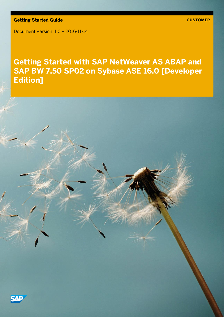**Getting Started Guide**

Document Version: 1.0 – 2016-11-14

# **Getting Started with SAP NetWeaver AS ABAP and SAP BW 7.50 SP02 on Sybase ASE 16.0 [Developer Edition]**

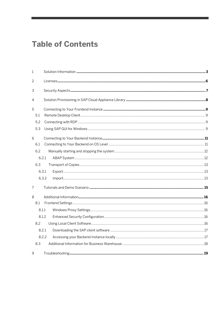# **Table of Contents**

| 1            |       |  |
|--------------|-------|--|
| $\mathbf{2}$ |       |  |
| 3            |       |  |
| 4            |       |  |
| 5            |       |  |
| 5.1          |       |  |
| 5.2          |       |  |
| 5.3          |       |  |
| 6            |       |  |
| 6.1          |       |  |
| 6.2          |       |  |
|              | 6.2.1 |  |
| 6.3          |       |  |
|              | 6.3.1 |  |
|              | 6.3.2 |  |
| 7            |       |  |
| 8            |       |  |
| 8.1          |       |  |
|              | 8.1.1 |  |
|              | 8.1.2 |  |
| 8.2          |       |  |
|              | 8.2.1 |  |
|              | 8.2.2 |  |
| 8.3          |       |  |
| 9            |       |  |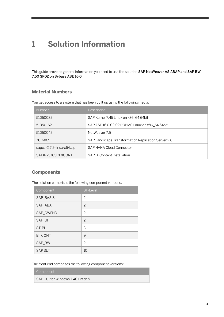# <span id="page-2-0"></span>**1 Solution Information**

This guide provides general information you need to use the solution SAP NetWeaver AS ABAP and SAP BW 7.50 SP02 on Sybase ASE 16.0.

### **Material Numbers**

You get access to a system that has been built up using the following media:

| Number                    | Description                                         |
|---------------------------|-----------------------------------------------------|
| 51050082                  | SAP Kernel 7.45 Linux on x86 64 64 bit              |
| 51050162                  | SAP ASE 16.0.02.02 RDBMS Linux on x86 64 64bit      |
| 51050042                  | NetWeaver 7.5                                       |
| 7016865                   | SAP Landscape Transformation Replication Server 2.0 |
| sapcc-2.7.2-linux-x64.zip | SAP HANA Cloud Connector                            |
| SAPK-75705INBICONT        | SAP BI Content Installation                         |

### **Components**

The solution comprises the following component versions:

| Component      | <b>SP-Level</b> |
|----------------|-----------------|
| SAP_BASIS      | 2               |
| SAP_ABA        | 2               |
| SAP_GWFND      | 2               |
| SAP_UI         | $\overline{c}$  |
| ST-PI          | 3               |
| <b>BI_CONT</b> | 9               |
| SAP_BW         | 2               |
| <b>SAPSLT</b>  | 10              |

The front end comprises the following component versions:

#### Component

SAP GUI for Windows 7.40 Patch 5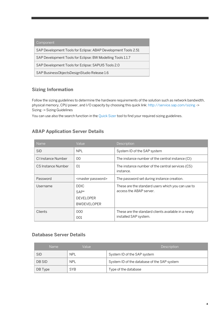| Component                                                      |
|----------------------------------------------------------------|
| SAP Development Tools for Eclipse: ABAP Development Tools 2.51 |
| SAP Development Tools for Eclipse: BW Modelling Tools 1.1.7    |
| SAP Development Tools for Eclipse: SAPUI5 Tools 2.0            |
| SAP BusinessObjectsDesignStudio Release 1.6                    |

### **Sizing Information**

Follow the sizing guidelines to determine the hardware requirements of the solution such as network bandwidth, physical memory, CPU power, and I/O capacity by choosing this quick link[: http://service.sap.com/sizing](http://service.sap.com/sizing) -> Sizing -> Sizing Guidelines

You can use also the search function in the [Quick](http://service.sap.com/) Sizer tool to find your required sizing guidelines.

### **ABAP Application Server Details**

| <b>Name</b>              | Value                                                           | Description                                                                  |
|--------------------------|-----------------------------------------------------------------|------------------------------------------------------------------------------|
| <b>SID</b>               | <b>NPL</b>                                                      | System ID of the SAP system                                                  |
| CI Instance Number       | 00                                                              | The instance number of the central instance (CI)                             |
| 01<br>CS Instance Number |                                                                 | The instance number of the central services (CS)<br>instance.                |
| Password                 | <master password=""></master>                                   | The password set during instance creation.                                   |
| Username                 | <b>DDIC</b><br>$SAP*$<br><b>DEVELOPER</b><br><b>BWDEVELOPER</b> | These are the standard users which you can use to<br>access the ABAP server. |
| <b>Clients</b>           | 000<br>001                                                      | These are the standard clients available in a newly<br>installed SAP system. |

### **Database Server Details**

| Name       | Value      | <b>Description</b>                          |
|------------|------------|---------------------------------------------|
| <b>SID</b> | <b>NPL</b> | System ID of the SAP system                 |
| DB SID     | <b>NPL</b> | System ID of the database of the SAP system |
| DB Type    | <b>SYB</b> | Type of the database                        |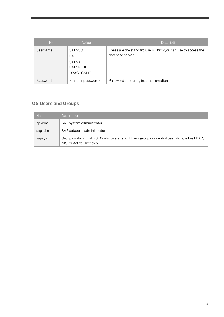| <b>Name</b> | Value                                                                | Description                                                                      |
|-------------|----------------------------------------------------------------------|----------------------------------------------------------------------------------|
| Username    | <b>SAPSSO</b><br>SA<br><b>SAPSA</b><br>SAPSR3DB<br><b>DBACOCKPIT</b> | These are the standard users which you can use to access the<br>database server. |
| Password    | <master password=""></master>                                        | Password set during instance creation                                            |

### **OS Users and Groups**

| <b>Name</b> | Description                                                                                                                     |
|-------------|---------------------------------------------------------------------------------------------------------------------------------|
| npladm      | SAP system administrator                                                                                                        |
| sapadm      | SAP database administrator                                                                                                      |
| sapsys      | Group containing all <sid>adm users (should be a group in a central user storage like LDAP,<br/>NIS, or Active Directory)</sid> |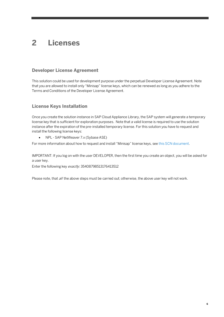# <span id="page-5-0"></span>**2 Licenses**

### **Developer License Agreement**

This solution could be used for development purpose under the perpetual Developer License Agreement. Note that you are allowed to install only "Minisap" license keys, which can be renewed as long as you adhere to the Terms and Conditions of the Developer License Agreement.

### **License Keys Installation**

Once you create the solution instance in SAP Cloud Appliance Library, the SAP system will generate a temporary license key that is sufficient for exploration purposes. Note that a valid license is required to use the solution instance after the expiration of the pre-installed temporary license. For this solution you have to request and install the following license keys:

• NPL - SAP NetWeaver 7.x (Sybase ASE)

For more information about how to request and install "Minisap" license keys, se[e this SCN document.](http://scn.sap.com/docs/DOC-70025)

IMPORTANT: If you log on with the user DEVELOPER, then the first time you create an object, you will be asked for a user key.

Enter the following key exactly: 35408798513176413512

Please note, that all the above steps must be carried out; otherwise, the above user key will not work.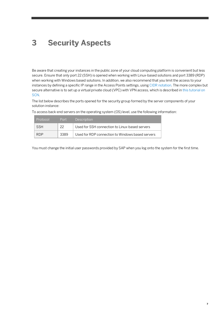# <span id="page-6-0"></span>**3 Security Aspects**

Be aware that creating your instances in the public zone of your cloud computing platform is convenient but less secure. Ensure that only port 22 (SSH) is opened when working with Linux-based solutions and port 3389 (RDP) when working with Windows based solutions. In addition, we also recommend that you limit the access to your instances by defining a specific IP range in the Access Points settings, usin[g CIDR notation.](http://en.wikipedia.org/wiki/Classless_Inter-Domain_Routing) The more complex but secure alternative is to set up a virtual private cloud (VPC) with VPN access, which is described i[n this tutorial on](http://scn.sap.com/docs/DOC-57869)  [SCN.](http://scn.sap.com/docs/DOC-57869)

The list below describes the ports opened for the security group formed by the server components of your solution instance:

| Protocol   | Port | <b>Description</b>                               |
|------------|------|--------------------------------------------------|
| <b>SSH</b> | 22   | Used for SSH connection to Linux-based servers   |
| RDP        | 3389 | Used for RDP connection to Windows based servers |

To access back-end servers on the operating system (OS) level, use the following information:

You must change the initial user passwords provided by SAP when you log onto the system for the first time.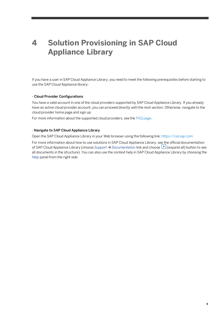# <span id="page-7-0"></span>**4 Solution Provisioning in SAP Cloud Appliance Library**

If you have a user in SAP Cloud Appliance Library, you need to meet the following prerequisites before starting to use the SAP Cloud Appliance library:

#### - Cloud Provider Configurations

You have a valid account in one of the cloud providers supported by SAP Cloud Appliance Library. If you already have an active cloud provider account, you can proceed directly with the next section. Otherwise, navigate to the cloud provider home page and sign up.

For more information about the supported cloud providers, see th[e FAQ page.](http://scn.sap.com/docs/DOC-33673)

#### - Navigate to SAP Cloud Appliance Library

Open the SAP Cloud Appliance Library in your Web browser using the following link[: https://cal.sap.com](https://cal.sap.com/)

For more information about how to use solutions in SAP Cloud Appliance Library, see the official documentation of SAP Cloud Appliance Library (choose *Support*  $\rightarrow$  *Documentation* link and choose  $\boxed{+}$  (expand all) button to see all documents in the structure). You can also use the context help in SAP Cloud Appliance Library by choosing the *Help* panel from the right side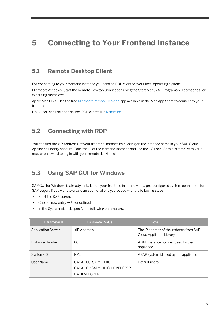# <span id="page-8-0"></span>**5 Connecting to Your Frontend Instance**

### <span id="page-8-1"></span>**5.1 Remote Desktop Client**

For connecting to your frontend instance you need an RDP client for your local operating system:

Microsoft Windows: Start the Remote Desktop Connection using the Start Menu (All Programs > Accessories) or executing mstsc.exe.

Apple Mac OS X: Use the fre[e Microsoft Remote Desktop](https://itunes.apple.com/en/app/microsoft-remote-desktop/id715768417) app available in the Mac App Store to connect to your frontend.

<span id="page-8-2"></span>Linux: You can use open source RDP clients lik[e Remmina.](http://remmina.sourceforge.net/)

### **5.2 Connecting with RDP**

You can find the <IP Address> of your frontend instance by clicking on the instance name in your SAP Cloud Appliance Library account. Take the IP of the frontend instance and use the OS user "Administrator" with your master password to log in with your remote desktop client.

### <span id="page-8-3"></span>**5.3 Using SAP GUI for Windows**

SAP GUI for Windows is already installed on your frontend instance with a pre-configured system connection for SAP Logon. If you want to create an additional entry, proceed with the following steps:

- Start the SAP Logon.
- Choose new entry  $\rightarrow$  User defined.
- In the System wizard, specify the following parameters:

| Parameter ID              | Parameter Value                                                                   | <b>Note</b>                                                        |
|---------------------------|-----------------------------------------------------------------------------------|--------------------------------------------------------------------|
| <b>Application Server</b> | <ip address=""></ip>                                                              | The IP address of the instance from SAP<br>Cloud Appliance Library |
| Instance Number           | 00                                                                                | ABAP instance number used by the<br>appliance.                     |
| System-ID                 | <b>NPL</b>                                                                        | ABAP system id used by the appliance                               |
| User Name                 | Client 000: SAP*, DDIC<br>Client 001: SAP*, DDIC, DEVELOPER<br><b>BWDEVELOPER</b> | Default users                                                      |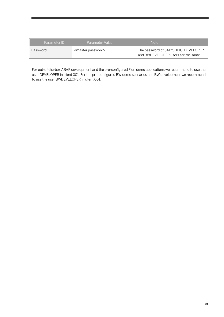| Parameter ID | Parameter Value               | <b>Note</b>                                                                  |
|--------------|-------------------------------|------------------------------------------------------------------------------|
| Password     | <master password=""></master> | The password of SAP*, DDIC, DEVELOPER<br>and BWDEVELOPER users are the same. |

For out-of-the-box ABAP development and the pre-configured Fiori demo applications we recommend to use the user DEVELOPER in client 001. For the pre-configured BW demo scenarios and BW development we recommend to use the user BWDEVELOPER in client 001.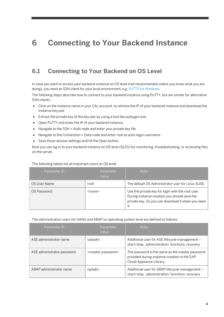# <span id="page-10-0"></span>**6 Connecting to Your Backend Instance**

## <span id="page-10-1"></span>**6.1 Connecting to Your Backend on OS Level**

In case you want to access your backend instance on OS level (not recommended unless you know what you are doing), you need an SSH client for your local environment, e.g[. PuTTY for Windows.](http://www.chiark.greenend.org.uk/~sgtatham/putty/download.html)

The following steps describe how to connect to your backend instance using PuTTY, but are similar for alternative SSH clients:

- Click on the instance name in your CAL account, to retrieve the IP of your backend instance and download the instance key pair.
- Extract the private key of the key pair by using a tool like puttygen.exe.
- Open PuTTY and enter the IP of your backend instance.
- Navigate to the SSH > Auth node and enter your private key file.
- Navigate to the Connection > Data node and enter root as auto-login username.
- Save these session settings and hit the Open button.

Now you can log in to your backend instance on OS level (SLES) for monitoring, troubleshooting, or accessing files on the server.

#### The following tables list all important users on OS level:

| Parameter ID | Parameter<br>Value | <b>Note</b>                                                                                                                                                   |
|--------------|--------------------|---------------------------------------------------------------------------------------------------------------------------------------------------------------|
| OS User Name | root               | The default OS Administrator user for Linux SUSE.                                                                                                             |
| OS Password  | <none></none>      | Use the private key for login with the root user.<br>During instance creation you should save the<br>private key. So you can download it when you need<br>it. |

The administration users for HANA and ABAP on operating system level are defined as follows:

| Parameter ID               | Parameter<br>Value            | <b>Note</b>                                                                                                                 |
|----------------------------|-------------------------------|-----------------------------------------------------------------------------------------------------------------------------|
| ASE administrator name     | sybadm                        | Additional user for ASE lifecycle management -<br>start/stop, administration, functions, recovery                           |
| ASE administrator password | <master password=""></master> | The password is the same as the master password<br>provided during instance creation in the SAP<br>Cloud Appliance Library. |
| ABAP administrator name    | npladm                        | Additional user for ABAP lifecycle management -<br>start/stop, administration, functions, recovery                          |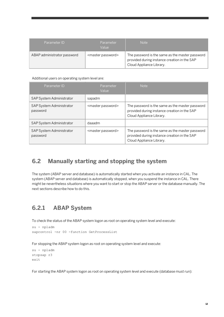| Parameter ID                | <b>Parameter</b><br>Value     | Note                                                                                                                        |
|-----------------------------|-------------------------------|-----------------------------------------------------------------------------------------------------------------------------|
| ABAP administrator password | <master password=""></master> | The password is the same as the master password<br>provided during instance creation in the SAP<br>Cloud Appliance Library. |

#### Additional users on operating system level are:

| Parameter ID                         | Parameter<br>Value            | <b>Note</b>                                                                                                                 |
|--------------------------------------|-------------------------------|-----------------------------------------------------------------------------------------------------------------------------|
| <b>SAP System Administrator</b>      | sapadm                        |                                                                                                                             |
| SAP System Administrator<br>password | <master password=""></master> | The password is the same as the master password<br>provided during instance creation in the SAP<br>Cloud Appliance Library. |
| SAP System Administrator             | daaadm                        |                                                                                                                             |
| SAP System Administrator<br>password | <master password=""></master> | The password is the same as the master password<br>provided during instance creation in the SAP<br>Cloud Appliance Library. |

### <span id="page-11-0"></span>**6.2 Manually starting and stopping the system**

The system (ABAP server and database) is automatically started when you activate an instance in CAL. The system (ABAP server and database) is automatically stopped, when you suspend the instance in CAL. There might be nevertheless situations where you want to start or stop the ABAP server or the database manually. The next sections describe how to do this.

## <span id="page-11-1"></span>**6.2.1 ABAP System**

To check the status of the ABAP system logon as root on operating system level and execute:

```
su - npladm
sapcontrol -nr 00 -function GetProcessList
```
For stopping the ABAP system logon as root on operating system level and execute:

```
su - npladm
stopsap r3
exit
```
For starting the ABAP system logon as root on operating system level and execute (database must run):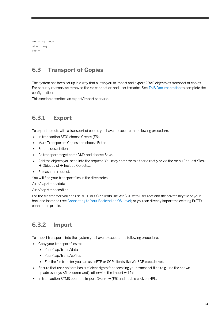su - npladm startsap r3  $e$ xit

## <span id="page-12-0"></span>**6.3 Transport of Copies**

The system has been set up in a way that allows you to import and export ABAP objects as transport of copies. For security reasons we removed the rfc connection and user tsmadm. See [TMS Documentation](http://help.sap.com/saphelp_nw70/helpdata/en/57/38dd4e4eb711d182bf0000e829fbfe/content.htm?frameset=/en/44/b4a09a7acc11d1899e0000e829fbbd/frameset.htm¤t_toc=/en/b4/d0340a2d0f433cbeb69660e750d74b/plain.htm&node_id=147&show_children=true#jump78) tp complete the configuration.

<span id="page-12-1"></span>This section describes an export/import scenario.

## **6.3.1 Export**

To export objects with a transport of copies you have to execute the following procedure:

- In transaction SE01 choose Create (F6).
- Mark Transport of Copies and choose Enter.
- Enter a description.
- As transport target enter DMY and choose Save.
- Add the objects you need into the request. You may enter them either directly or via the menu Request/Task  $\rightarrow$  Object List  $\rightarrow$  Include Objects...
- Release the request.

You will find your transport files in the directories:

/usr/sap/trans/data

/usr/sap/trans/cofiles

For the file transfer you can use sFTP or SCP clients like WinSCP with user root and the private key file of your backend instance (se[e Connecting to Your Backend on OS Level\)](#page-10-0) or you can directly import the existing PuTTY connection profile.

## <span id="page-12-2"></span>**6.3.2 Import**

To import transports into the system you have to execute the following procedure:

- Copy your transport files to:
	- /usr/sap/trans/data
	- /usr/sap/trans/cofiles
	- For the file transfer you can use sFTP or SCP clients like WinSCP (see above).
- Ensure that user npladm has sufficient rights for accessing your transport files (e.g. use the chown npladm:sapsys <file> command), otherwise the import will fail.
- In transaction STMS open the Import Overview (F5) and double click on NPL.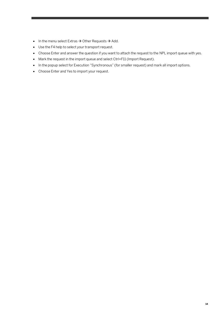- $\bullet$  In the menu select Extras  $\rightarrow$  Other Requests  $\rightarrow$  Add.
- Use the F4 help to select your transport request.
- Choose Enter and answer the question if you want to attach the request to the NPL import queue with yes.
- Mark the request in the import queue and select Ctrl+F11 (Import Request).
- In the popup select for Execution "Synchronous" (for smaller request) and mark all import options.
- Choose Enter and Yes to import your request.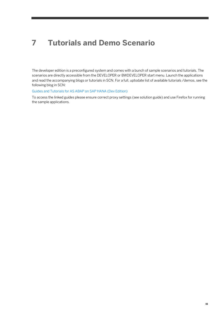# <span id="page-14-0"></span>**7 Tutorials and Demo Scenario**

The developer edition is a preconfigured system and comes with a bunch of sample scenarios and tutorials. The scenarios are directly accessible from the DEVELOPER or BWDEVELOPER start menu. Launch the applications and read the accompanying blogs or tutorials in SCN. For a full, uptodate list of available tutorials /demos, see the following blog in SCN:

#### [Guides and Tutorials for AS ABAP on SAP HANA \(Dev Edition\)](https://blogs.sap.com/?p=351999)

To access the linked guides please ensure correct proxy settings (see solution guide) and use Firefox for running the sample applications.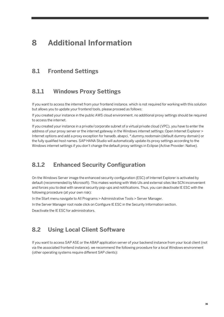## <span id="page-15-0"></span>**8 Additional Information**

### <span id="page-15-1"></span>**8.1 Frontend Settings**

### <span id="page-15-2"></span>**8.1.1 Windows Proxy Settings**

If you want to access the internet from your frontend instance, which is not required for working with this solution but allows you to update your frontend tools, please proceed as follows:

If you created your instance in the public AWS cloud environment, no additional proxy settings should be required to access the internet.

If you created your instance in a private/corporate subnet of a virtual private cloud (VPC), you have to enter the address of your proxy server or the internet gateway in the Windows internet settings: Open Internet Explorer > Internet options and add a proxy exception for hanadb, abapci, \*.dummy.nodomain (default dummy domain) or the fully qualified host names. SAP HANA Studio will automatically update its proxy settings according to the Windows internet settings if you don't change the default proxy settings in Eclipse (Active Provider: Native).

### <span id="page-15-3"></span>**8.1.2 Enhanced Security Configuration**

On the Windows Server image the enhanced security configuration (ESC) of Internet Explorer is activated by default (recommended by Microsoft). This makes working with Web UIs and external sites like SCN inconvenient and forces you to deal with several security pop-ups and notifications. Thus, you can deactivate IE ESC with the following procedure (at your own risk):

In the Start menu navigate to All Programs > Administrative Tools > Server Manager.

In the Server Manager root node click on Configure IE ESC in the Security Information section.

<span id="page-15-4"></span>Deactivate the IE ESC for administrators.

### **8.2 Using Local Client Software**

If you want to access SAP ASE or the ABAP application server of your backend instance from your local client (not via the associated frontend instance), we recommend the following procedure for a local Windows environment (other operating systems require different SAP clients):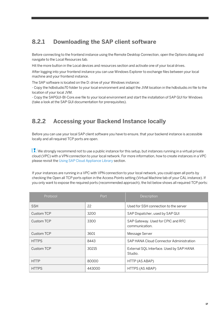## <span id="page-16-0"></span>**8.2.1 Downloading the SAP client software**

Before connecting to the frontend instance using the Remote Desktop Connection, open the Options dialog and navigate to the Local Resources tab.

Hit the more button in the Local devices and resources section and activate one of your local drives.

After logging into your frontend instance you can use Windows Explorer to exchange files between your local machine and your frontend instance.

The SAP software is located on the D: drive of your Windows instance:

- Copy the hdbstudio70 folder to your local environment and adapt the JVM location in the hdbstudio.ini file to the location of your local JVM.

<span id="page-16-1"></span>- Copy the SAPGUI-BI-Core.exe file to your local environment and start the installation of SAP GUI for Windows (take a look at the SAP GUI documentation for prerequisites).

## **8.2.2 Accessing your Backend Instance locally**

Before you can use your local SAP client software you have to ensure, that your backend instance is accessible locally and all required TCP ports are open.

We strongly recommend not to use a public instance for this setup, but instances running in a virtual private cloud (VPC) with a VPN connection to your local network. For more information, how to create instances in a VPC please revisit th[e Using SAP Cloud Appliance Library](file:///C:/Users/d000101/AppData/Local/Microsoft/Windows/Temporary%20Internet%20Files/Content.IE5/PR03U87H/ABAP_74_SP10_HANA_DevEdition.docx%23_Using_SAP_Cloud) section.

If your instances are running in a VPC with VPN connection to your local network, you could open all ports by checking the Open all TCP ports option in the Access Points setting (Virtual Machine tab of your CAL instance). If you only want to expose the required ports (recommended approach), the list below shows all required TCP ports:

| Protocol          | Port . | Description                                          |
|-------------------|--------|------------------------------------------------------|
| <b>SSH</b>        | 22     | Used for SSH connection to the server                |
| Custom TCP        | 3200   | SAP Dispatcher, used by SAP GUI                      |
| Custom TCP        | 3300   | SAP Gateway. Used for CPIC and RFC<br>communication. |
| <b>Custom TCP</b> | 3601   | Message Server                                       |
| <b>HTTPS</b>      | 8443   | SAP HANA Cloud Connector Administration              |
| <b>Custom TCP</b> | 30215  | External SQL Interface. Used by SAP HANA<br>Studio.  |
| <b>HTTP</b>       | 80000  | HTTP (AS ABAP)                                       |
| <b>HTTPS</b>      | 443000 | HTTPS (AS ABAP)                                      |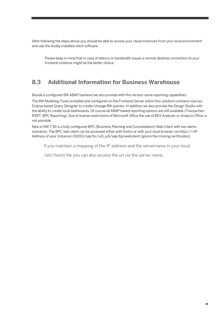After following the steps above you should be able to access your cloud instances from your local environment and use the locally installed client software.

Please keep in mind that in case of latency or bandwidth issues a remote desktop connection to your frontend instance might be the better choice.

## <span id="page-17-0"></span>**8.3 Additional Information for Business Warehouse**

Beside a configured BW ABAP backend we also provide with this version some reporting capabilities.

The BW Modeling Tools (installed and configured on the Frontend Server within this solution) contains now our Eclipse based Query Designer to create/change BW queries. In addition we also provide the Design Studio with the ability to create local dashboards. Of course all ABAP based reporting options are still available (Transaction RSRT, BPC Reporting). Due to license restrictions of Microsoft Office the use of BEX Analyzer or Analysis Office is not possible.

New in NW 7.50 is a fully configured BPC (Business Planning and Consolidation) Web Client with two demo scenarios. The BPC web client can be accessed either with firefox or with your local browser via https://<IP Address of your Instance>:50001/sap/bc/ui5\_ui5/sap/bpcwebclient (ignore the missing certificates).

If you maintain a mapping of the IP address and the servername in your local

/etc/hosts file you can also access the url via the server name.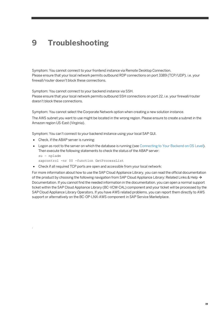# <span id="page-18-0"></span>**9 Troubleshooting**

Symptom: You cannot connect to your frontend instance via Remote Desktop Connection. Please ensure that your local network permits outbound RDP connections on port 3389 (TCP/UDP), i.e. your firewall/router doesn't block these connections.

Symptom: You cannot connect to your backend instance via SSH. Please ensure that your local network permits outbound SSH connections on port 22, i.e. your firewall/router doesn't block these connections.

Symptom: You cannot select the Corporate Network option when creating a new solution instance.

The AWS subnet you want to use might be located in the wrong region. Please ensure to create a subnet in the Amazon region US-East (Virginia).

Symptom: You can't connect to your backend instance using your local SAP GUI.

• Check, if the ABAP server is running:

.

- Logon as root to the server on which the database is running (se[e Connecting to Your Backend on OS Level\)](#page-10-0). Then execute the following statements to check the status of the ABAP server: su – npladm
	- sapcontrol -nr 00 -function GetProcessList
- Check if all required TCP ports are open and accessible from your local network:

For more information about how to use the SAP Cloud Appliance Library, you can read the official documentation of the product by choosing the following navigation from SAP Cloud Appliance Library: Related Links & Help  $\rightarrow$ Documentation. If you cannot find the needed information in the documentation, you can open a normal support ticket within the SAP Cloud Appliance Library (BC-VCM-CAL) component and your ticket will be processed by the SAP Cloud Appliance Library Operators. If you have AWS related problems, you can report them directly to AWS support or alternatively on the BC-OP-LNX-AWS component in SAP Service Marketplace.